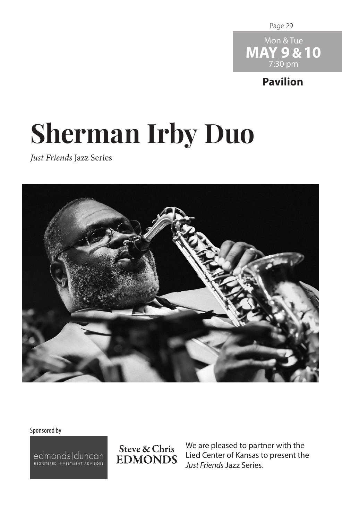Page 29

Mon & Tue **MAY 9 &10** 7:30 pm

## **Pavilion**

## **Sherman Irby Duo**

*Just Friends* Jazz Series



Sponsored by

edmondsIduncan

**Steve & Chris EDMONDS**  We are pleased to partner with the Lied Center of Kansas to present the *Just Friends* Jazz Series.